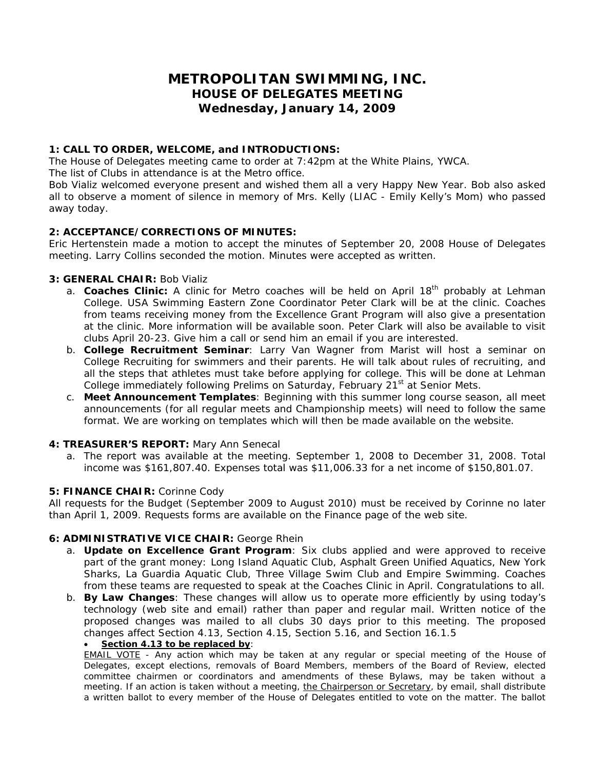# **METROPOLITAN SWIMMING, INC. HOUSE OF DELEGATES MEETING Wednesday, January 14, 2009**

# **1: CALL TO ORDER, WELCOME, and INTRODUCTIONS:**

The House of Delegates meeting came to order at 7:42pm at the White Plains, YWCA.

The list of Clubs in attendance is at the Metro office.

Bob Vializ welcomed everyone present and wished them all a very Happy New Year. Bob also asked all to observe a moment of silence in memory of Mrs. Kelly (LIAC - Emily Kelly's Mom) who passed away today.

# **2: ACCEPTANCE/CORRECTIONS OF MINUTES:**

Eric Hertenstein made a motion to accept the minutes of September 20, 2008 House of Delegates meeting. Larry Collins seconded the motion. Minutes were accepted as written.

# **3: GENERAL CHAIR:** Bob Vializ

- a. **Coaches Clinic:** A clinic for Metro coaches will be held on April 18<sup>th</sup> probably at Lehman College. USA Swimming Eastern Zone Coordinator Peter Clark will be at the clinic. Coaches from teams receiving money from the Excellence Grant Program will also give a presentation at the clinic. More information will be available soon. Peter Clark will also be available to visit clubs April 20-23. Give him a call or send him an email if you are interested.
- b. **College Recruitment Seminar**: Larry Van Wagner from Marist will host a seminar on College Recruiting for swimmers and their parents. He will talk about rules of recruiting, and all the steps that athletes must take before applying for college. This will be done at Lehman College immediately following Prelims on Saturday, February 21<sup>st</sup> at Senior Mets.
- c. **Meet Announcement Templates**: Beginning with this summer long course season, all meet announcements (for all regular meets and Championship meets) will need to follow the same format. We are working on templates which will then be made available on the website.

# **4: TREASURER'S REPORT:** Mary Ann Senecal

a. The report was available at the meeting. September 1, 2008 to December 31, 2008. Total income was \$161,807.40. Expenses total was \$11,006.33 for a net income of \$150,801.07.

# **5: FINANCE CHAIR:** Corinne Cody

All requests for the Budget (September 2009 to August 2010) must be received by Corinne no later than April 1, 2009. Requests forms are available on the Finance page of the web site.

# **6: ADMINISTRATIVE VICE CHAIR:** George Rhein

- a. **Update on Excellence Grant Program**: Six clubs applied and were approved to receive part of the grant money: Long Island Aquatic Club, Asphalt Green Unified Aquatics, New York Sharks, La Guardia Aquatic Club, Three Village Swim Club and Empire Swimming. Coaches from these teams are requested to speak at the Coaches Clinic in April. Congratulations to all.
- b. **By Law Changes**: These changes will allow us to operate more efficiently by using today's technology (web site and email) rather than paper and regular mail. Written notice of the proposed changes was mailed to all clubs 30 days prior to this meeting. The proposed changes affect Section 4.13, Section 4.15, Section 5.16, and Section 16.1.5

# • *Section 4.13 to be replaced by:*

*EMAIL VOTE - Any action which may be taken at any regular or special meeting of the House of Delegates, except elections, removals of Board Members, members of the Board of Review, elected committee chairmen or coordinators and amendments of these Bylaws, may be taken without a meeting. If an action is taken without a meeting, the Chairperson or Secretary, by email, shall distribute a written ballot to every member of the House of Delegates entitled to vote on the matter. The ballot*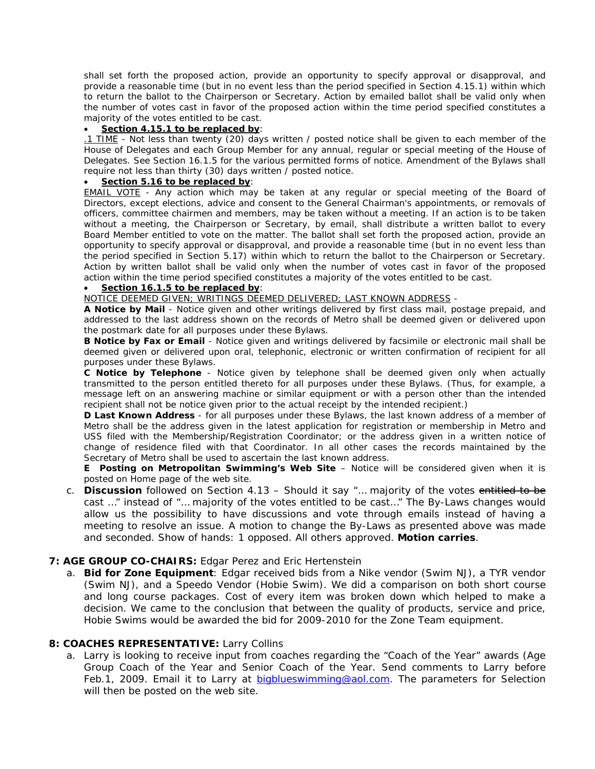*shall set forth the proposed action, provide an opportunity to specify approval or disapproval, and provide a reasonable time (but in no event less than the period specified in Section 4.15.1) within which to return the ballot to the Chairperson or Secretary. Action by emailed ballot shall be valid only when the number of votes cast in favor of the proposed action within the time period specified constitutes a majority of the votes entitled to be cast.* 

#### • *Section 4.15.1 to be replaced by:*

*.1 TIME - Not less than twenty (20) days written / posted notice shall be given to each member of the House of Delegates and each Group Member for any annual, regular or special meeting of the House of Delegates. See Section 16.1.5 for the various permitted forms of notice. Amendment of the Bylaws shall require not less than thirty (30) days written / posted notice.* 

#### • *Section 5.16 to be replaced by:*

**EMAIL VOTE** - Any action which may be taken at any regular or special meeting of the Board of *Directors, except elections, advice and consent to the General Chairman's appointments, or removals of officers, committee chairmen and members, may be taken without a meeting. If an action is to be taken without a meeting, the Chairperson or Secretary, by email, shall distribute a written ballot to every Board Member entitled to vote on the matter. The ballot shall set forth the proposed action, provide an opportunity to specify approval or disapproval, and provide a reasonable time (but in no event less than the period specified in Section 5.17) within which to return the ballot to the Chairperson or Secretary. Action by written ballot shall be valid only when the number of votes cast in favor of the proposed action within the time period specified constitutes a majority of the votes entitled to be cast.* 

# • *Section 16.1.5 to be replaced by:*

*NOTICE DEEMED GIVEN; WRITINGS DEEMED DELIVERED; LAST KNOWN ADDRESS -* 

*A Notice by Mail - Notice given and other writings delivered by first class mail, postage prepaid, and addressed to the last address shown on the records of Metro shall be deemed given or delivered upon the postmark date for all purposes under these Bylaws.* 

*B Notice by Fax or Email - Notice given and writings delivered by facsimile or electronic mail shall be deemed given or delivered upon oral, telephonic, electronic or written confirmation of recipient for all purposes under these Bylaws.* 

*C Notice by Telephone - Notice given by telephone shall be deemed given only when actually transmitted to the person entitled thereto for all purposes under these Bylaws. (Thus, for example, a message left on an answering machine or similar equipment or with a person other than the intended recipient shall not be notice given prior to the actual receipt by the intended recipient.)* 

*D Last Known Address - for all purposes under these Bylaws, the last known address of a member of Metro shall be the address given in the latest application for registration or membership in Metro and USS filed with the Membership/Registration Coordinator; or the address given in a written notice of change of residence filed with that Coordinator. In all other cases the records maintained by the Secretary of Metro shall be used to ascertain the last known address.* 

*E Posting on Metropolitan Swimming's Web Site – Notice will be considered given when it is posted on Home page of the web site.* 

c. **Discussion** followed on Section 4.13 – Should it say "… majority of the votes entitled to be cast …" instead of "… majority of the votes entitled to be cast…" The By-Laws changes would allow us the possibility to have discussions and vote through emails instead of having a meeting to resolve an issue. A motion to change the By-Laws as presented above was made and seconded. Show of hands: 1 opposed. All others approved. **Motion carries**.

# **7: AGE GROUP CO-CHAIRS:** Edgar Perez and Eric Hertenstein

a. **Bid for Zone Equipment**: Edgar received bids from a Nike vendor (Swim NJ), a TYR vendor (Swim NJ), and a Speedo Vendor (Hobie Swim). We did a comparison on both short course and long course packages. Cost of every item was broken down which helped to make a decision. We came to the conclusion that between the quality of products, service and price, Hobie Swims would be awarded the bid for 2009-2010 for the Zone Team equipment.

# **8: COACHES REPRESENTATIVE:** Larry Collins

a. Larry is looking to receive input from coaches regarding the "Coach of the Year" awards (Age Group Coach of the Year and Senior Coach of the Year. Send comments to Larry before Feb.1, 2009. Email it to Larry at [bigblueswimming@aol.com](mailto:bigblueswimming@aol.com). The parameters for Selection will then be posted on the web site.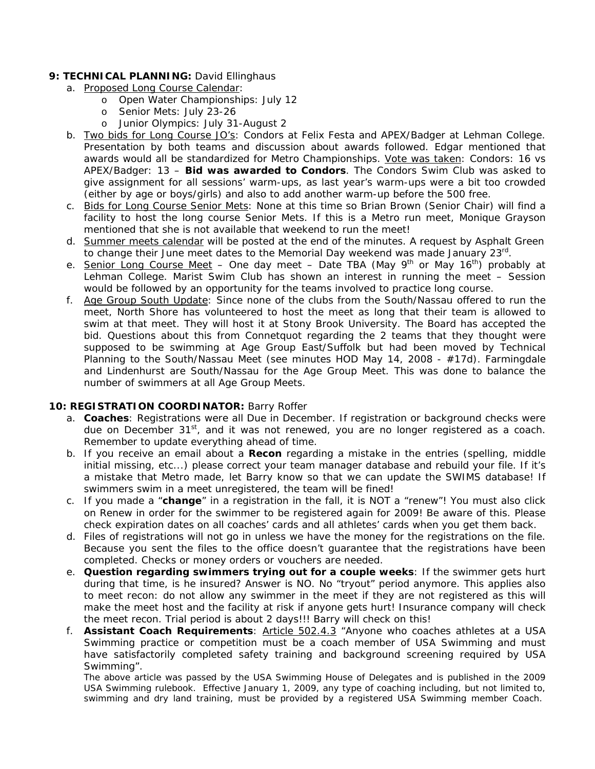# 9: TECHNICAL PLANNING: David Ellinghaus

- a. Proposed Long Course Calendar:
	- o Open Water Championships: July 12
	- o Senior Mets: July 23-26
	- o Junior Olympics: July 31-August 2
- b. Two bids for Long Course JO's: Condors at Felix Festa and APEX/Badger at Lehman College. Presentation by both teams and discussion about awards followed. Edgar mentioned that awards would all be standardized for Metro Championships. Vote was taken: Condors: 16 vs APEX/Badger: 13 – **Bid was awarded to Condors**. The Condors Swim Club was asked to give assignment for all sessions' warm-ups, as last year's warm-ups were a bit too crowded (either by age or boys/girls) and also to add another warm-up before the 500 free.
- c. Bids for Long Course Senior Mets: None at this time so Brian Brown (Senior Chair) will find a facility to host the long course Senior Mets. If this is a Metro run meet, Monique Grayson mentioned that she is not available that weekend to run the meet!
- d. Summer meets calendar will be posted at the end of the minutes. A request by Asphalt Green to change their June meet dates to the Memorial Day weekend was made January 23<sup>rd</sup>.
- e. Senior Long Course Meet One day meet Date TBA (May 9<sup>th</sup> or May 16<sup>th</sup>) probably at Lehman College. Marist Swim Club has shown an interest in running the meet – Session would be followed by an opportunity for the teams involved to practice long course.
- f. Age Group South Update: Since none of the clubs from the South/Nassau offered to run the meet, North Shore has volunteered to host the meet as long that their team is allowed to swim at that meet. They will host it at Stony Brook University. The Board has accepted the bid. Questions about this from Connetquot regarding the 2 teams that they thought were supposed to be swimming at Age Group East/Suffolk but had been moved by Technical Planning to the South/Nassau Meet (see minutes HOD May 14, 2008 - #17d). Farmingdale and Lindenhurst are South/Nassau for the Age Group Meet. This was done to balance the number of swimmers at all Age Group Meets.

#### **10: REGISTRATION COORDINATOR:** Barry Roffer

- a. **Coaches**: Registrations were all Due in December. If registration or background checks were due on December 31<sup>st</sup>, and it was not renewed, you are no longer registered as a coach. Remember to update everything ahead of time.
- b. If you receive an email about a **Recon** regarding a mistake in the entries (spelling, middle initial missing, etc...) please correct your team manager database and rebuild your file. If it's a mistake that Metro made, let Barry know so that we can update the SWIMS database! If swimmers swim in a meet unregistered, the team will be fined!
- c. If you made a "**change**" in a registration in the fall, it is NOT a "renew"! You must also click on Renew in order for the swimmer to be registered again for 2009! Be aware of this. Please check expiration dates on all coaches' cards and all athletes' cards when you get them back.
- d. Files of registrations will not go in unless we have the money for the registrations on the file. Because you sent the files to the office doesn't guarantee that the registrations have been completed. Checks or money orders or vouchers are needed.
- e. **Question regarding swimmers trying out for a couple weeks**: If the swimmer gets hurt during that time, is he insured? Answer is NO. No "tryout" period anymore. This applies also to meet recon: do not allow any swimmer in the meet if they are not registered as this will make the meet host and the facility at risk if anyone gets hurt! Insurance company will check the meet recon. Trial period is about 2 days!!! Barry will check on this!
- f. **Assistant Coach Requirements**: **Article 502.4.3** "Anyone who coaches athletes at a USA Swimming practice or competition must be a coach member of USA Swimming and must have satisfactorily completed safety training and background screening required by USA Swimming".

*The above article was passed by the USA Swimming House of Delegates and is published in the 2009 USA Swimming rulebook. Effective January 1, 2009, any type of coaching including, but not limited to, swimming and dry land training, must be provided by a registered USA Swimming member Coach.*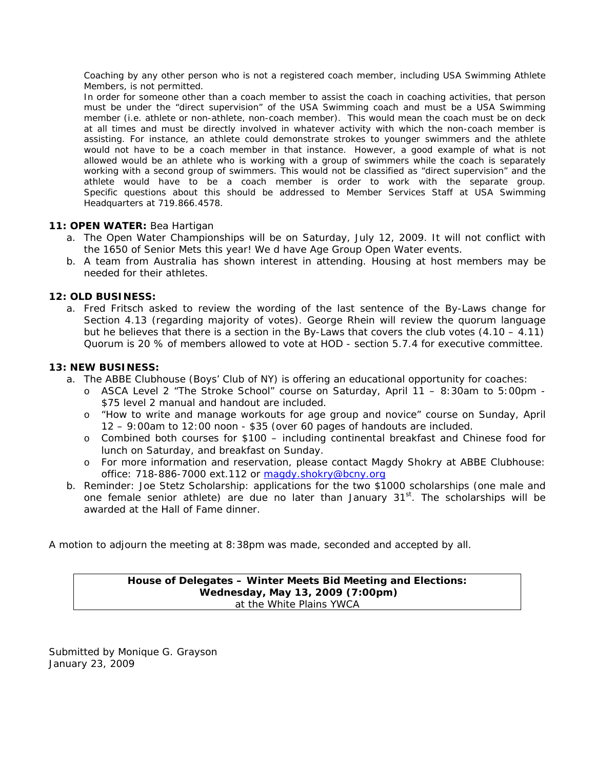*Coaching by any other person who is not a registered coach member, including USA Swimming Athlete Members, is not permitted.* 

*In order for someone other than a coach member to assist the coach in coaching activities, that person must be under the "direct supervision" of the USA Swimming coach and must be a USA Swimming member (i.e. athlete or non-athlete, non-coach member). This would mean the coach must be on deck at all times and must be directly involved in whatever activity with which the non-coach member is assisting. For instance, an athlete could demonstrate strokes to younger swimmers and the athlete would not have to be a coach member in that instance. However, a good example of what is not allowed would be an athlete who is working with a group of swimmers while the coach is separately working with a second group of swimmers. This would not be classified as "direct supervision" and the athlete would have to be a coach member is order to work with the separate group. Specific questions about this should be addressed to Member Services Staff at USA Swimming Headquarters at 719.866.4578.*

# **11: OPEN WATER:** Bea Hartigan

- a. The Open Water Championships will be on Saturday, July 12, 2009. It will not conflict with the 1650 of Senior Mets this year! We d have Age Group Open Water events.
- b. A team from Australia has shown interest in attending. Housing at host members may be needed for their athletes.

#### **12: OLD BUSINESS:**

a. Fred Fritsch asked to review the wording of the last sentence of the By-Laws change for Section 4.13 (regarding majority of votes). George Rhein will review the quorum language but he believes that there is a section in the By-Laws that covers the club votes  $(4.10 - 4.11)$ Quorum is 20 % of members allowed to vote at HOD - section 5.7.4 for executive committee.

#### **13: NEW BUSINESS:**

- a. The ABBE Clubhouse (Boys' Club of NY) is offering an educational opportunity for coaches:
	- o ASCA Level 2 "The Stroke School" course on Saturday, April 11 8:30am to 5:00pm \$75 level 2 manual and handout are included.
	- o "How to write and manage workouts for age group and novice" course on Sunday, April 12 – 9:00am to 12:00 noon - \$35 (over 60 pages of handouts are included.
	- o Combined both courses for \$100 including continental breakfast and Chinese food for lunch on Saturday, and breakfast on Sunday.
	- o For more information and reservation, please contact Magdy Shokry at ABBE Clubhouse: office: 718-886-7000 ext.112 or [magdy.shokry@bcny.org](mailto:magdy.shokry@bcny.org)
- b. Reminder: Joe Stetz Scholarship: applications for the two \$1000 scholarships (one male and one female senior athlete) are due no later than January 31<sup>st</sup>. The scholarships will be awarded at the Hall of Fame dinner.

A motion to adjourn the meeting at 8:38pm was made, seconded and accepted by all.

#### **House of Delegates – Winter Meets Bid Meeting and Elections: Wednesday, May 13, 2009 (7:00pm)**  at the White Plains YWCA

Submitted by Monique G. Grayson January 23, 2009